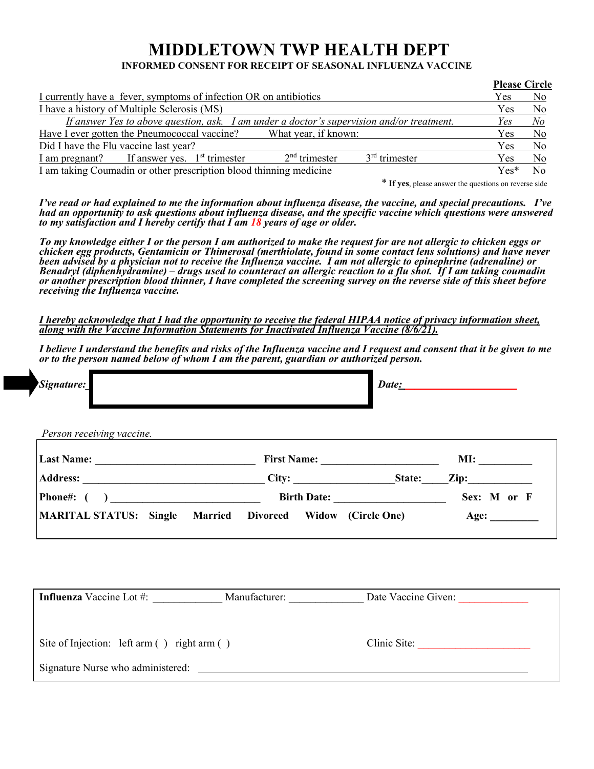## **MIDDLETOWN TWP HEALTH DEPT INFORMED CONSENT FOR RECEIPT OF SEASONAL INFLUENZA VACCINE**

|                                                                                           | <b>Please Circle</b> |                |
|-------------------------------------------------------------------------------------------|----------------------|----------------|
| I currently have a fever, symptoms of infection OR on antibiotics                         | Yes                  | No             |
| I have a history of Multiple Sclerosis (MS)                                               | Yes                  | No             |
| If answer Yes to above question, ask. I am under a doctor's supervision and/or treatment. | Yes                  | N <sub>o</sub> |
| Have I ever gotten the Pneumococcal vaccine? What year, if known:                         | <b>Yes</b>           | N <sub>0</sub> |
| Did I have the Flu vaccine last year?                                                     | <b>Yes</b>           | N <sub>o</sub> |
| $3rd$ trimester<br>$2nd$ trimester<br>$I$ am pregnant? If answer yes. $Ist$ trimester     | Yes                  | No             |
| I am taking Coumadin or other prescription blood thinning medicine                        | $Yes*$               | No.            |

\* **If yes**, please answer the questions on reverse side

*I've read or had explained to me the information about influenza disease, the vaccine, and special precautions. I've had an opportunity to ask questions about influenza disease, and the specific vaccine which questions were answered to my satisfaction and I hereby certify that I am 18 years of age or older.* 

*To my knowledge either I or the person I am authorized to make the request for are not allergic to chicken eggs or chicken egg products, Gentamicin or Thimerosal (merthiolate, found in some contact lens solutions) and have never been advised by a physician not to receive the Influenza vaccine. I am not allergic to epinephrine (adrenaline) or Benadryl (diphenhydramine) – drugs used to counteract an allergic reaction to a flu shot. If I am taking coumadin or another prescription blood thinner, I have completed the screening survey on the reverse side of this sheet before receiving the Influenza vaccine.* 

*I hereby acknowledge that I had the opportunity to receive the federal HIPAA notice of privacy information sheet, along with the Vaccine Information Statements for Inactivated Influenza Vaccine (8/6/21).*

*I believe I understand the benefits and risks of the Influenza vaccine and I request and consent that it be given to me or to the person named below of whom I am the parent, guardian or authorized person.* 

| Signature:                                  |                                                            | Date:                   |
|---------------------------------------------|------------------------------------------------------------|-------------------------|
| Person receiving vaccine.                   |                                                            |                         |
|                                             | First Name:                                                |                         |
|                                             |                                                            |                         |
|                                             |                                                            | Birth Date: Sex: M or F |
| <b>MARITAL STATUS: Single</b>               | <b>Married Divorced Widow (Circle One)</b>                 | Age:                    |
|                                             | Influenza Vaccine Lot #: Manufacturer: Date Vaccine Given: |                         |
| Site of Injection: left arm () right arm () |                                                            | Clinic Site:            |
| Signature Nurse who administered:           |                                                            |                         |